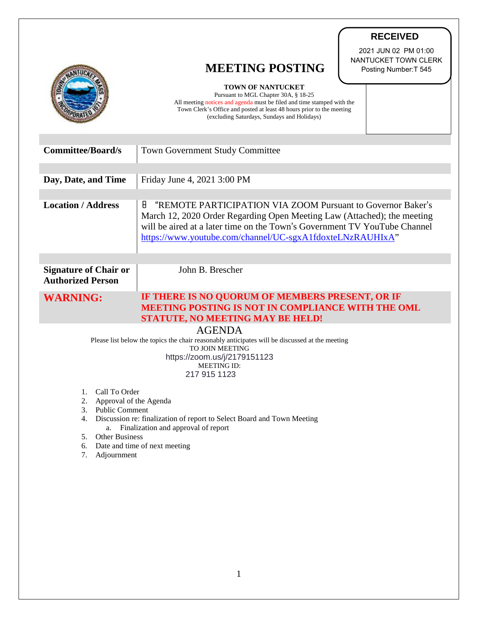|                                                                                                                 |                                                                                                                                                                                                                                                                                       | <b>RECEIVED</b>                                                       |
|-----------------------------------------------------------------------------------------------------------------|---------------------------------------------------------------------------------------------------------------------------------------------------------------------------------------------------------------------------------------------------------------------------------------|-----------------------------------------------------------------------|
|                                                                                                                 | <b>MEETING POSTING</b>                                                                                                                                                                                                                                                                | 2021 JUN 02 PM 01:00<br>NANTUCKET TOWN CLERK<br>Posting Number: T 545 |
|                                                                                                                 | TOWN OF NANTUCKET<br>Pursuant to MGL Chapter 30A, § 18-25<br>All meeting notices and agenda must be filed and time stamped with the<br>Town Clerk's Office and posted at least 48 hours prior to the meeting<br>(excluding Saturdays, Sundays and Holidays)                           |                                                                       |
| <b>Committee/Board/s</b>                                                                                        | <b>Town Government Study Committee</b>                                                                                                                                                                                                                                                |                                                                       |
| Day, Date, and Time                                                                                             | Friday June 4, 2021 3:00 PM                                                                                                                                                                                                                                                           |                                                                       |
| <b>Location / Address</b>                                                                                       | "REMOTE PARTICIPATION VIA ZOOM Pursuant to Governor Baker's<br>8<br>March 12, 2020 Order Regarding Open Meeting Law (Attached); the meeting<br>will be aired at a later time on the Town's Government TV YouTube Channel<br>https://www.youtube.com/channel/UC-sgxA1fdoxteLNzRAUHIxA" |                                                                       |
| <b>Signature of Chair or</b><br><b>Authorized Person</b>                                                        | John B. Brescher                                                                                                                                                                                                                                                                      |                                                                       |
| <b>WARNING:</b>                                                                                                 | IF THERE IS NO QUORUM OF MEMBERS PRESENT, OR IF<br><b>MEETING POSTING IS NOT IN COMPLIANCE WITH THE OML</b><br><b>STATUTE, NO MEETING MAY BE HELD!</b>                                                                                                                                |                                                                       |
| <b>AGENDA</b><br>Please list below the topics the chair reasonably anticipates will be discussed at the meeting |                                                                                                                                                                                                                                                                                       |                                                                       |
| <b>TO JOIN MEETING</b><br>https://zoom.us/j/2179151123<br><b>MEETING ID:</b>                                    |                                                                                                                                                                                                                                                                                       |                                                                       |
| 217 915 1123                                                                                                    |                                                                                                                                                                                                                                                                                       |                                                                       |
| Call To Order<br>1.<br>2.<br>Approval of the Agenda                                                             |                                                                                                                                                                                                                                                                                       |                                                                       |
| 3.<br><b>Public Comment</b><br>Discussion re: finalization of report to Select Board and Town Meeting<br>4.     |                                                                                                                                                                                                                                                                                       |                                                                       |
| Finalization and approval of report<br>a.<br><b>Other Business</b><br>5.                                        |                                                                                                                                                                                                                                                                                       |                                                                       |
| Date and time of next meeting<br>6.<br>7.<br>Adjournment                                                        |                                                                                                                                                                                                                                                                                       |                                                                       |
|                                                                                                                 |                                                                                                                                                                                                                                                                                       |                                                                       |
|                                                                                                                 |                                                                                                                                                                                                                                                                                       |                                                                       |
|                                                                                                                 |                                                                                                                                                                                                                                                                                       |                                                                       |

 $\bigg)$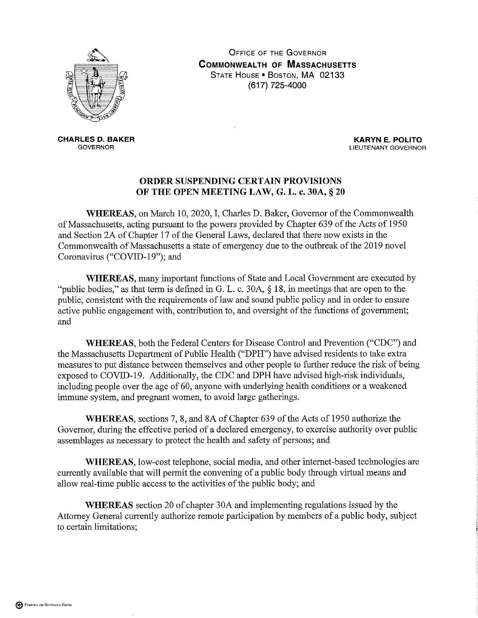

**OFFICE OF THE GOVERNOR COMMONWEALTH OF MASSACHUSETTS** STATE HOUSE . BOSTON, MA 02133 (617) 725-4000

**CHARLES D. BAKER GOVERNOR** 

**KARYN E. POLITO** LIEUTENANT GOVERNOR

## ORDER SUSPENDING CERTAIN PROVISIONS OF THE OPEN MEETING LAW, G. L. c. 30A, § 20

WHEREAS, on March 10, 2020, I, Charles D. Baker, Governor of the Commonwealth of Massachusetts, acting pursuant to the powers provided by Chapter 639 of the Acts of 1950 and Section 2A of Chapter 17 of the General Laws, declared that there now exists in the Commonwealth of Massachusetts a state of emergency due to the outbreak of the 2019 novel Coronavirus ("COVID-19"); and

**WHEREAS**, many important functions of State and Local Government are executed by "public bodies," as that term is defined in G. L. c. 30A,  $\S$  18, in meetings that are open to the public, consistent with the requirements of law and sound public policy and in order to ensure active public engagement with, contribution to, and oversight of the functions of government; and

WHEREAS, both the Federal Centers for Disease Control and Prevention ("CDC") and the Massachusetts Department of Public Health ("DPH") have advised residents to take extra measures to put distance between themselves and other people to further reduce the risk of being exposed to COVID-19. Additionally, the CDC and DPH have advised high-risk individuals, including people over the age of 60, anyone with underlying health conditions or a weakened immune system, and pregnant women, to avoid large gatherings.

WHEREAS, sections 7, 8, and 8A of Chapter 639 of the Acts of 1950 authorize the Governor, during the effective period of a declared emergency, to exercise authority over public assemblages as necessary to protect the health and safety of persons; and

WHEREAS, low-cost telephone, social media, and other internet-based technologies are currently available that will permit the convening of a public body through virtual means and allow real-time public access to the activities of the public body; and

**WHEREAS** section 20 of chapter 30A and implementing regulations issued by the Attorney General currently authorize remote participation by members of a public body, subject to certain limitations;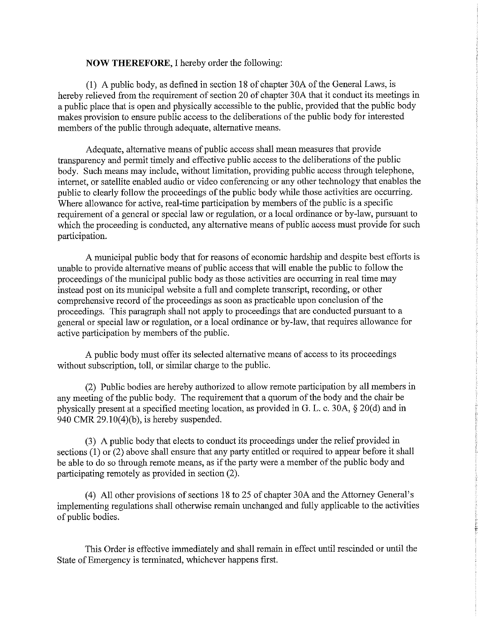## **NOW THEREFORE, I hereby order the following:**

(1) A public body, as defined in section 18 of chapter 30A of the General Laws, is hereby relieved from the requirement of section 20 of chapter 30A that it conduct its meetings in a public place that is open and physically accessible to the public, provided that the public body makes provision to ensure public access to the deliberations of the public body for interested members of the public through adequate, alternative means.

Adequate, alternative means of public access shall mean measures that provide transparency and permit timely and effective public access to the deliberations of the public body. Such means may include, without limitation, providing public access through telephone, internet, or satellite enabled audio or video conferencing or any other technology that enables the public to clearly follow the proceedings of the public body while those activities are occurring. Where allowance for active, real-time participation by members of the public is a specific requirement of a general or special law or regulation, or a local ordinance or by-law, pursuant to which the proceeding is conducted, any alternative means of public access must provide for such participation.

A municipal public body that for reasons of economic hardship and despite best efforts is unable to provide alternative means of public access that will enable the public to follow the proceedings of the municipal public body as those activities are occurring in real time may instead post on its municipal website a full and complete transcript, recording, or other comprehensive record of the proceedings as soon as practicable upon conclusion of the proceedings. This paragraph shall not apply to proceedings that are conducted pursuant to a general or special law or regulation, or a local ordinance or by-law, that requires allowance for active participation by members of the public.

A public body must offer its selected alternative means of access to its proceedings without subscription, toll, or similar charge to the public.

(2) Public bodies are hereby authorized to allow remote participation by all members in any meeting of the public body. The requirement that a quorum of the body and the chair be physically present at a specified meeting location, as provided in G. L. c. 30A, § 20(d) and in 940 CMR  $29.10(4)(b)$ , is hereby suspended.

(3) A public body that elects to conduct its proceedings under the relief provided in sections  $(1)$  or  $(2)$  above shall ensure that any party entitled or required to appear before it shall be able to do so through remote means, as if the party were a member of the public body and participating remotely as provided in section (2).

(4) All other provisions of sections 18 to 25 of chapter 30A and the Attorney General's implementing regulations shall otherwise remain unchanged and fully applicable to the activities of public bodies.

This Order is effective immediately and shall remain in effect until rescinded or until the State of Emergency is terminated, whichever happens first.